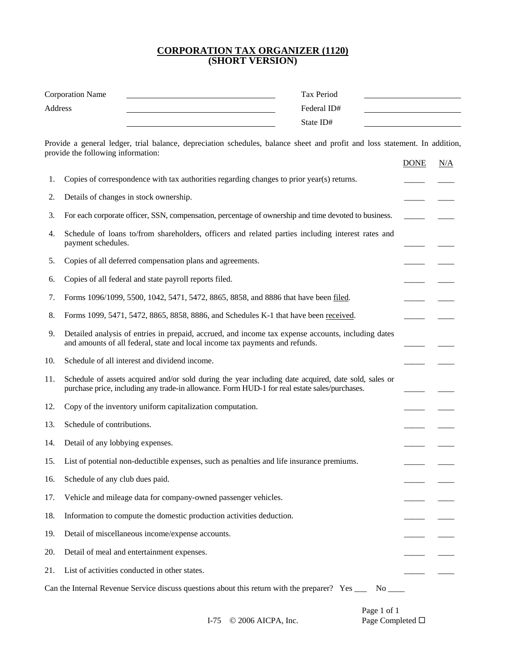#### **CORPORATION TAX ORGANIZER (1120) (SHORT VERSION)**

|     | Tax Period<br><b>Corporation Name</b><br>Address<br>Federal ID#<br><u> 1989 - Johann Barn, mars eta bainar eta idazlea (</u><br>State ID#                                                             |             |     |
|-----|-------------------------------------------------------------------------------------------------------------------------------------------------------------------------------------------------------|-------------|-----|
|     | Provide a general ledger, trial balance, depreciation schedules, balance sheet and profit and loss statement. In addition,<br>provide the following information:                                      |             |     |
|     |                                                                                                                                                                                                       | <b>DONE</b> | N/A |
| 1.  | Copies of correspondence with tax authorities regarding changes to prior year(s) returns.                                                                                                             |             |     |
| 2.  | Details of changes in stock ownership.                                                                                                                                                                |             |     |
| 3.  | For each corporate officer, SSN, compensation, percentage of ownership and time devoted to business.                                                                                                  |             |     |
| 4.  | Schedule of loans to/from shareholders, officers and related parties including interest rates and<br>payment schedules.                                                                               |             |     |
| 5.  | Copies of all deferred compensation plans and agreements.                                                                                                                                             |             |     |
| 6.  | Copies of all federal and state payroll reports filed.                                                                                                                                                |             |     |
| 7.  | Forms 1096/1099, 5500, 1042, 5471, 5472, 8865, 8858, and 8886 that have been filed.                                                                                                                   |             |     |
| 8.  | Forms 1099, 5471, 5472, 8865, 8858, 8886, and Schedules K-1 that have been received.                                                                                                                  |             |     |
| 9.  | Detailed analysis of entries in prepaid, accrued, and income tax expense accounts, including dates<br>and amounts of all federal, state and local income tax payments and refunds.                    |             |     |
| 10. | Schedule of all interest and dividend income.                                                                                                                                                         |             |     |
| 11. | Schedule of assets acquired and/or sold during the year including date acquired, date sold, sales or<br>purchase price, including any trade-in allowance. Form HUD-1 for real estate sales/purchases. |             |     |
| 12. | Copy of the inventory uniform capitalization computation.                                                                                                                                             |             |     |
| 13. | Schedule of contributions.                                                                                                                                                                            |             |     |
| 14. | Detail of any lobbying expenses.                                                                                                                                                                      |             |     |
| 15. | List of potential non-deductible expenses, such as penalties and life insurance premiums.                                                                                                             |             |     |
| 16. | Schedule of any club dues paid.                                                                                                                                                                       |             |     |
| 17. | Vehicle and mileage data for company-owned passenger vehicles.                                                                                                                                        |             |     |
| 18. | Information to compute the domestic production activities deduction.                                                                                                                                  |             |     |
| 19. | Detail of miscellaneous income/expense accounts.                                                                                                                                                      |             |     |
| 20. | Detail of meal and entertainment expenses.                                                                                                                                                            |             |     |
| 21. | List of activities conducted in other states.                                                                                                                                                         |             |     |
|     | Can the Internal Revenue Service discuss questions about this return with the preparer? Yes _______<br>No.                                                                                            |             |     |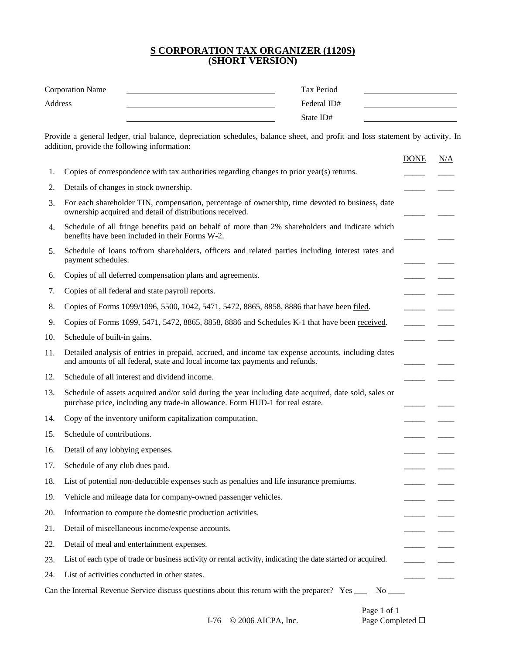#### **S CORPORATION TAX ORGANIZER (1120S) (SHORT VERSION)**

| <b>Corporation Name</b> | Tax Period  |  |
|-------------------------|-------------|--|
| Address                 | Federal ID# |  |
|                         | State ID#   |  |

Provide a general ledger, trial balance, depreciation schedules, balance sheet, and profit and loss statement by activity. In addition, provide the following information:

|     |                                                                                                                                                                                       | <b>DONE</b> | N/A |
|-----|---------------------------------------------------------------------------------------------------------------------------------------------------------------------------------------|-------------|-----|
| 1.  | Copies of correspondence with tax authorities regarding changes to prior year(s) returns.                                                                                             |             |     |
| 2.  | Details of changes in stock ownership.                                                                                                                                                |             |     |
| 3.  | For each shareholder TIN, compensation, percentage of ownership, time devoted to business, date<br>ownership acquired and detail of distributions received.                           |             |     |
| 4.  | Schedule of all fringe benefits paid on behalf of more than 2% shareholders and indicate which<br>benefits have been included in their Forms W-2.                                     |             |     |
| 5.  | Schedule of loans to/from shareholders, officers and related parties including interest rates and<br>payment schedules.                                                               |             |     |
| 6.  | Copies of all deferred compensation plans and agreements.                                                                                                                             |             |     |
| 7.  | Copies of all federal and state payroll reports.                                                                                                                                      |             |     |
| 8.  | Copies of Forms 1099/1096, 5500, 1042, 5471, 5472, 8865, 8858, 8886 that have been filed.                                                                                             |             |     |
| 9.  | Copies of Forms 1099, 5471, 5472, 8865, 8858, 8886 and Schedules K-1 that have been received.                                                                                         |             |     |
| 10. | Schedule of built-in gains.                                                                                                                                                           |             |     |
| 11. | Detailed analysis of entries in prepaid, accrued, and income tax expense accounts, including dates<br>and amounts of all federal, state and local income tax payments and refunds.    |             |     |
| 12. | Schedule of all interest and dividend income.                                                                                                                                         |             |     |
| 13. | Schedule of assets acquired and/or sold during the year including date acquired, date sold, sales or<br>purchase price, including any trade-in allowance. Form HUD-1 for real estate. |             |     |
| 14. | Copy of the inventory uniform capitalization computation.                                                                                                                             |             |     |
| 15. | Schedule of contributions.                                                                                                                                                            |             |     |
| 16. | Detail of any lobbying expenses.                                                                                                                                                      |             |     |
| 17. | Schedule of any club dues paid.                                                                                                                                                       |             |     |
| 18. | List of potential non-deductible expenses such as penalties and life insurance premiums.                                                                                              |             |     |
| 19. | Vehicle and mileage data for company-owned passenger vehicles.                                                                                                                        |             |     |
| 20. | Information to compute the domestic production activities.                                                                                                                            |             |     |
| 21. | Detail of miscellaneous income/expense accounts.                                                                                                                                      |             |     |
| 22. | Detail of meal and entertainment expenses.                                                                                                                                            |             |     |
| 23. | List of each type of trade or business activity or rental activity, indicating the date started or acquired.                                                                          |             |     |
| 24. | List of activities conducted in other states.                                                                                                                                         |             |     |
|     | Can the Internal Revenue Service discuss questions about this return with the preparer? Yes _____ No _____                                                                            |             |     |

I-76 © 2006 AICPA, Inc. Page Completed □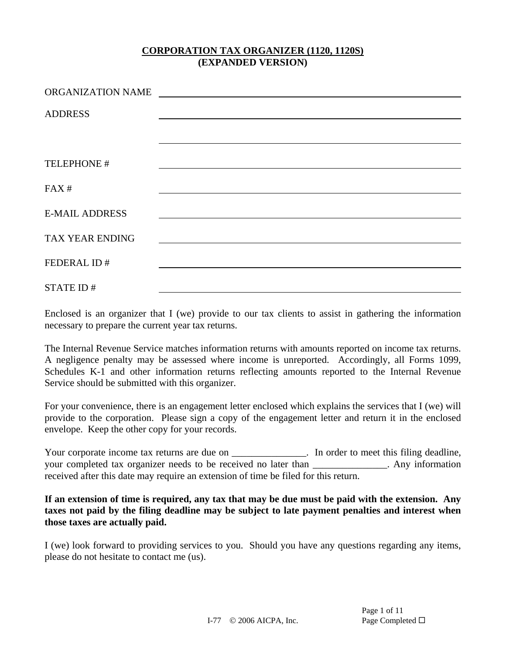| ORGANIZATION NAME     | <u> 1989 - Andrea Stationen, fransk politiker (d. 1989)</u>                                                                                                                                                                   |
|-----------------------|-------------------------------------------------------------------------------------------------------------------------------------------------------------------------------------------------------------------------------|
| <b>ADDRESS</b>        |                                                                                                                                                                                                                               |
|                       |                                                                                                                                                                                                                               |
|                       |                                                                                                                                                                                                                               |
| TELEPHONE #           |                                                                                                                                                                                                                               |
|                       |                                                                                                                                                                                                                               |
| FAX#                  |                                                                                                                                                                                                                               |
| <b>E-MAIL ADDRESS</b> |                                                                                                                                                                                                                               |
|                       |                                                                                                                                                                                                                               |
| TAX YEAR ENDING       | the control of the control of the control of the control of the control of the control of the control of the control of the control of the control of the control of the control of the control of the control of the control |
| FEDERAL ID#           |                                                                                                                                                                                                                               |
|                       |                                                                                                                                                                                                                               |
| STATE ID#             |                                                                                                                                                                                                                               |

Enclosed is an organizer that I (we) provide to our tax clients to assist in gathering the information necessary to prepare the current year tax returns.

The Internal Revenue Service matches information returns with amounts reported on income tax returns. A negligence penalty may be assessed where income is unreported. Accordingly, all Forms 1099, Schedules K-1 and other information returns reflecting amounts reported to the Internal Revenue Service should be submitted with this organizer.

For your convenience, there is an engagement letter enclosed which explains the services that I (we) will provide to the corporation. Please sign a copy of the engagement letter and return it in the enclosed envelope. Keep the other copy for your records.

Your corporate income tax returns are due on \_\_\_\_\_\_\_\_\_\_\_\_\_\_. In order to meet this filing deadline, your completed tax organizer needs to be received no later than \_\_\_\_\_\_\_\_\_\_\_\_\_\_\_. Any information received after this date may require an extension of time be filed for this return.

### **If an extension of time is required, any tax that may be due must be paid with the extension. Any taxes not paid by the filing deadline may be subject to late payment penalties and interest when those taxes are actually paid.**

I (we) look forward to providing services to you. Should you have any questions regarding any items, please do not hesitate to contact me (us).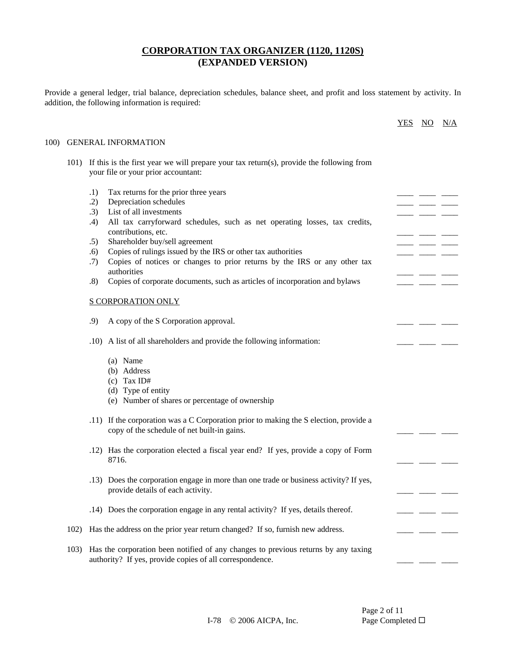Provide a general ledger, trial balance, depreciation schedules, balance sheet, and profit and loss statement by activity. In addition, the following information is required:

|      |      |                                                                                                                                                | <b>YES</b> | $\underline{\mathrm{NO}}$ | N/A |
|------|------|------------------------------------------------------------------------------------------------------------------------------------------------|------------|---------------------------|-----|
| 100) |      | <b>GENERAL INFORMATION</b>                                                                                                                     |            |                           |     |
|      | 101) | If this is the first year we will prepare your tax return(s), provide the following from<br>your file or your prior accountant:                |            |                           |     |
|      |      | .1)<br>Tax returns for the prior three years                                                                                                   |            |                           |     |
|      |      | Depreciation schedules<br>.2)                                                                                                                  |            |                           |     |
|      |      | List of all investments<br>.3)                                                                                                                 |            |                           |     |
|      |      | All tax carryforward schedules, such as net operating losses, tax credits,<br>.4)<br>contributions, etc.                                       |            |                           |     |
|      |      | Shareholder buy/sell agreement<br>.5)                                                                                                          |            |                           |     |
|      |      | Copies of rulings issued by the IRS or other tax authorities<br>.6)                                                                            |            |                           |     |
|      |      | Copies of notices or changes to prior returns by the IRS or any other tax<br>.7)<br>authorities                                                |            |                           |     |
|      |      | Copies of corporate documents, such as articles of incorporation and bylaws<br>.8)                                                             |            |                           |     |
|      |      | <b>S CORPORATION ONLY</b>                                                                                                                      |            |                           |     |
|      |      | .9)<br>A copy of the S Corporation approval.                                                                                                   |            |                           |     |
|      |      | .10) A list of all shareholders and provide the following information:                                                                         |            |                           |     |
|      |      | (a) Name                                                                                                                                       |            |                           |     |
|      |      | (b) Address                                                                                                                                    |            |                           |     |
|      |      | $(c)$ Tax ID#                                                                                                                                  |            |                           |     |
|      |      | (d) Type of entity                                                                                                                             |            |                           |     |
|      |      | (e) Number of shares or percentage of ownership                                                                                                |            |                           |     |
|      |      | .11) If the corporation was a C Corporation prior to making the S election, provide a<br>copy of the schedule of net built-in gains.           |            |                           |     |
|      |      | .12) Has the corporation elected a fiscal year end? If yes, provide a copy of Form<br>8716.                                                    |            |                           |     |
|      |      | .13) Does the corporation engage in more than one trade or business activity? If yes,<br>provide details of each activity.                     |            |                           |     |
|      |      | .14) Does the corporation engage in any rental activity? If yes, details thereof.                                                              |            |                           |     |
|      | 102) | Has the address on the prior year return changed? If so, furnish new address.                                                                  |            |                           |     |
|      | 103) | Has the corporation been notified of any changes to previous returns by any taxing<br>authority? If yes, provide copies of all correspondence. |            |                           |     |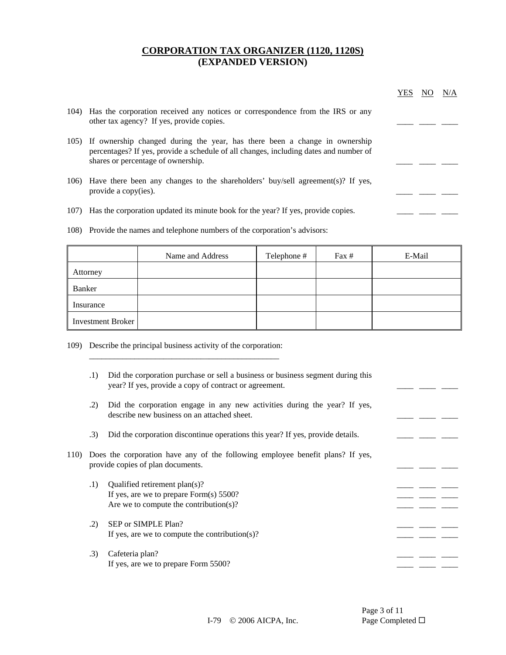|      |                                                                                                                                                                                                                | YES | N/A |
|------|----------------------------------------------------------------------------------------------------------------------------------------------------------------------------------------------------------------|-----|-----|
|      | 104) Has the corporation received any notices or correspondence from the IRS or any<br>other tax agency? If yes, provide copies.                                                                               |     |     |
|      | 105) If ownership changed during the year, has there been a change in ownership<br>percentages? If yes, provide a schedule of all changes, including dates and number of<br>shares or percentage of ownership. |     |     |
|      | 106) Have there been any changes to the shareholders' buy/sell agreement(s)? If yes,<br>provide a copy(ies).                                                                                                   |     |     |
| 107) | Has the corporation updated its minute book for the year? If yes, provide copies.                                                                                                                              |     |     |
|      | 108) Provide the names and telephone numbers of the corporation's advisors:                                                                                                                                    |     |     |

|                   | Name and Address | Telephone # | Fax # | E-Mail |
|-------------------|------------------|-------------|-------|--------|
| Attorney          |                  |             |       |        |
| Banker            |                  |             |       |        |
| Insurance         |                  |             |       |        |
| Investment Broker |                  |             |       |        |

109) Describe the principal business activity of the corporation:

\_\_\_\_\_\_\_\_\_\_\_\_\_\_\_\_\_\_\_\_\_\_\_\_\_\_\_\_\_\_\_\_\_\_\_\_\_\_\_\_\_\_\_\_\_\_

|      | .1) | Did the corporation purchase or sell a business or business segment during this<br>year? If yes, provide a copy of contract or agreement. |  |  |
|------|-----|-------------------------------------------------------------------------------------------------------------------------------------------|--|--|
|      | .2) | Did the corporation engage in any new activities during the year? If yes,<br>describe new business on an attached sheet.                  |  |  |
|      | .3) | Did the corporation discontinue operations this year? If yes, provide details.                                                            |  |  |
| 110) |     | Does the corporation have any of the following employee benefit plans? If yes,<br>provide copies of plan documents.                       |  |  |
|      | .1) | Qualified retirement plan(s)?<br>If yes, are we to prepare Form $(s)$ 5500?<br>Are we to compute the contribution(s)?                     |  |  |
|      | .2) | SEP or SIMPLE Plan?<br>If yes, are we to compute the contribution(s)?                                                                     |  |  |
|      | .3) | Cafeteria plan?<br>If yes, are we to prepare Form 5500?                                                                                   |  |  |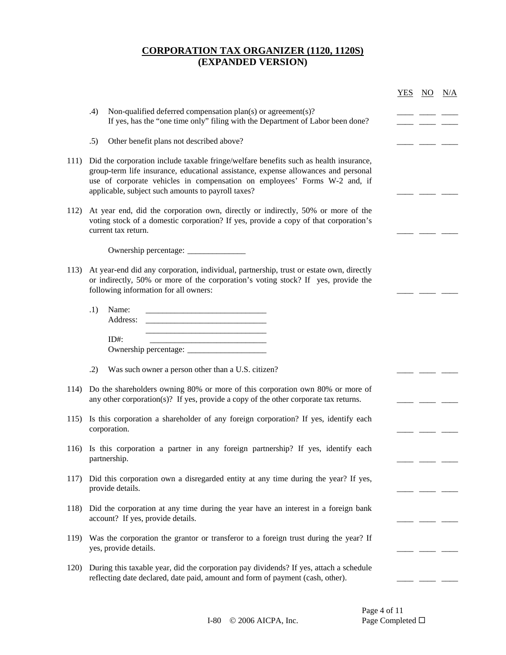|      |                                                                                                                                                                                                                                                                                                                | <b>YES</b> | $\overline{NO}$ | N/A |
|------|----------------------------------------------------------------------------------------------------------------------------------------------------------------------------------------------------------------------------------------------------------------------------------------------------------------|------------|-----------------|-----|
|      | Non-qualified deferred compensation $plan(s)$ or agreement(s)?<br>.4)<br>If yes, has the "one time only" filing with the Department of Labor been done?                                                                                                                                                        |            |                 |     |
|      | .5)<br>Other benefit plans not described above?                                                                                                                                                                                                                                                                |            |                 |     |
| 111) | Did the corporation include taxable fringe/welfare benefits such as health insurance,<br>group-term life insurance, educational assistance, expense allowances and personal<br>use of corporate vehicles in compensation on employees' Forms W-2 and, if<br>applicable, subject such amounts to payroll taxes? |            |                 |     |
| 112) | At year end, did the corporation own, directly or indirectly, 50% or more of the<br>voting stock of a domestic corporation? If yes, provide a copy of that corporation's<br>current tax return.                                                                                                                |            |                 |     |
|      |                                                                                                                                                                                                                                                                                                                |            |                 |     |
| 113) | At year-end did any corporation, individual, partnership, trust or estate own, directly<br>or indirectly, 50% or more of the corporation's voting stock? If yes, provide the<br>following information for all owners:                                                                                          |            |                 |     |
|      | .1)<br>Name:<br>Address:<br><u> 1989 - Johann Harry Harry Harry Harry Harry Harry Harry Harry Harry Harry Harry Harry Harry Harry Harry Harry</u>                                                                                                                                                              |            |                 |     |
|      | $ID#$ :                                                                                                                                                                                                                                                                                                        |            |                 |     |
|      | Was such owner a person other than a U.S. citizen?<br>.2)                                                                                                                                                                                                                                                      |            |                 |     |
| 114) | Do the shareholders owning 80% or more of this corporation own 80% or more of<br>any other corporation(s)? If yes, provide a copy of the other corporate tax returns.                                                                                                                                          |            |                 |     |
| 115) | Is this corporation a shareholder of any foreign corporation? If yes, identify each<br>corporation.                                                                                                                                                                                                            |            |                 |     |
|      | 116) Is this corporation a partner in any foreign partnership? If yes, identify each<br>partnership.                                                                                                                                                                                                           |            |                 |     |
| 117) | Did this corporation own a disregarded entity at any time during the year? If yes,<br>provide details.                                                                                                                                                                                                         |            |                 |     |
| 118) | Did the corporation at any time during the year have an interest in a foreign bank<br>account? If yes, provide details.                                                                                                                                                                                        |            |                 |     |
|      | 119) Was the corporation the grantor or transferor to a foreign trust during the year? If<br>yes, provide details.                                                                                                                                                                                             |            |                 |     |
| 120) | During this taxable year, did the corporation pay dividends? If yes, attach a schedule<br>reflecting date declared, date paid, amount and form of payment (cash, other).                                                                                                                                       |            |                 |     |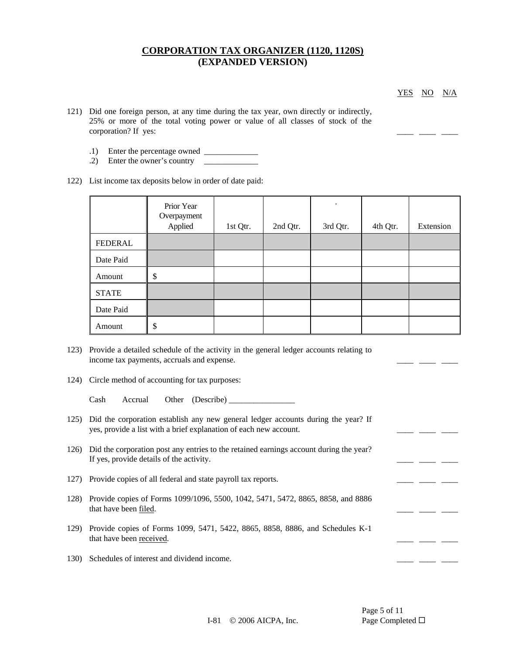YES NO N/A

- 121) Did one foreign person, at any time during the tax year, own directly or indirectly, 25% or more of the total voting power or value of all classes of stock of the corporation? If yes:
	- $.1)$  Enter the percentage owned  $\frac{1}{\sqrt{1-\frac{1}{2}}}\left| \frac{1}{\sqrt{1-\frac{1}{2}}}\right|$
	- .2) Enter the owner's country \_\_\_\_\_\_\_\_\_\_\_\_\_
- 122) List income tax deposits below in order of date paid:

|              | Prior Year<br>Overpayment<br>Applied | 1st Qtr. | 2nd Qtr. | $\bullet$<br>3rd Qtr. | 4th Qtr. | Extension |
|--------------|--------------------------------------|----------|----------|-----------------------|----------|-----------|
| FEDERAL      |                                      |          |          |                       |          |           |
| Date Paid    |                                      |          |          |                       |          |           |
| Amount       | \$                                   |          |          |                       |          |           |
| <b>STATE</b> |                                      |          |          |                       |          |           |
| Date Paid    |                                      |          |          |                       |          |           |
| Amount       | \$                                   |          |          |                       |          |           |

- 123) Provide a detailed schedule of the activity in the general ledger accounts relating to income tax payments, accruals and expense.
- 124) Circle method of accounting for tax purposes:

Cash Accrual Other (Describe) \_\_\_\_\_\_\_\_\_\_\_\_\_\_\_\_

- 125) Did the corporation establish any new general ledger accounts during the year? If yes, provide a list with a brief explanation of each new account.
- 126) Did the corporation post any entries to the retained earnings account during the year? If yes, provide details of the activity. \_\_\_\_ \_\_\_\_ \_\_\_\_
- 127) Provide copies of all federal and state payroll tax reports. \_\_\_\_\_\_\_ \_\_\_\_\_ \_\_\_\_ \_\_\_\_ \_\_\_\_ \_\_
- 128) Provide copies of Forms 1099/1096, 5500, 1042, 5471, 5472, 8865, 8858, and 8886 that have been <u>filed</u>.
- 129) Provide copies of Forms 1099, 5471, 5422, 8865, 8858, 8886, and Schedules K-1 that have been received. \_\_\_\_ \_\_\_\_ \_\_\_\_
- 130) Schedules of interest and dividend income.

Page 5 of 11

I-81 © 2006 AICPA, Inc. Page Completed □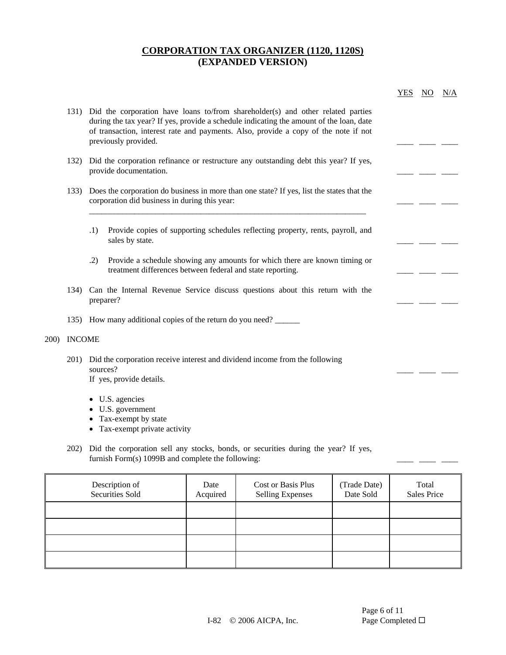|              |               |                                                                                                                                                                                                                                                                                                | YES | NO. | N/A |
|--------------|---------------|------------------------------------------------------------------------------------------------------------------------------------------------------------------------------------------------------------------------------------------------------------------------------------------------|-----|-----|-----|
|              |               | 131) Did the corporation have loans to/from shareholder(s) and other related parties<br>during the tax year? If yes, provide a schedule indicating the amount of the loan, date<br>of transaction, interest rate and payments. Also, provide a copy of the note if not<br>previously provided. |     |     |     |
|              | 132)          | Did the corporation refinance or restructure any outstanding debt this year? If yes,<br>provide documentation.                                                                                                                                                                                 |     |     |     |
|              | 133)          | Does the corporation do business in more than one state? If yes, list the states that the<br>corporation did business in during this year:                                                                                                                                                     |     |     |     |
|              |               | Provide copies of supporting schedules reflecting property, rents, payroll, and<br>.1)<br>sales by state.                                                                                                                                                                                      |     |     |     |
|              |               | .2)<br>Provide a schedule showing any amounts for which there are known timing or<br>treatment differences between federal and state reporting.                                                                                                                                                |     |     |     |
|              |               | 134) Can the Internal Revenue Service discuss questions about this return with the<br>preparer?                                                                                                                                                                                                |     |     |     |
|              |               | 135) How many additional copies of the return do you need?                                                                                                                                                                                                                                     |     |     |     |
| <b>200</b> ) | <b>INCOME</b> |                                                                                                                                                                                                                                                                                                |     |     |     |
|              | 201)          | Did the corporation receive interest and dividend income from the following<br>sources?<br>If yes, provide details.                                                                                                                                                                            |     |     |     |
|              |               | • U.S. agencies<br>U.S. government                                                                                                                                                                                                                                                             |     |     |     |
|              |               | Tax-exempt by state                                                                                                                                                                                                                                                                            |     |     |     |
|              |               | Tax-exempt private activity                                                                                                                                                                                                                                                                    |     |     |     |

202) Did the corporation sell any stocks, bonds, or securities during the year? If yes, furnish Form(s) 1099B and complete the following:  $\frac{1}{2}$  \_\_\_\_\_ \_\_\_\_ \_\_\_ \_\_\_ \_\_

| Description of<br>Securities Sold | Date<br>Acquired | Cost or Basis Plus<br><b>Selling Expenses</b> | (Trade Date)<br>Date Sold | Total<br><b>Sales Price</b> |
|-----------------------------------|------------------|-----------------------------------------------|---------------------------|-----------------------------|
|                                   |                  |                                               |                           |                             |
|                                   |                  |                                               |                           |                             |
|                                   |                  |                                               |                           |                             |
|                                   |                  |                                               |                           |                             |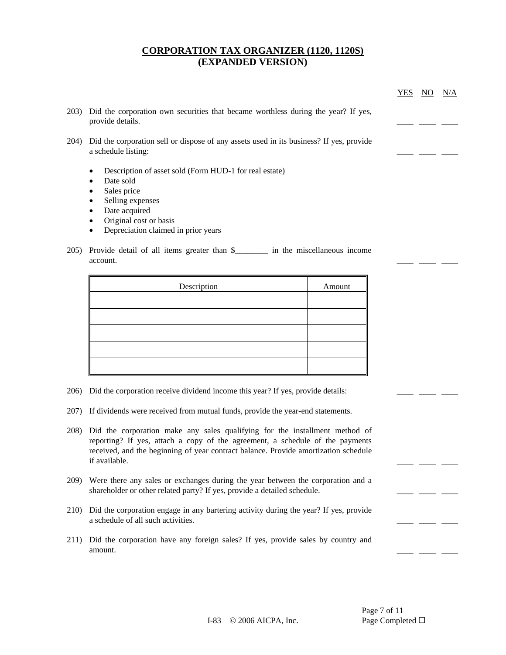|      |                                                                                                                | YES | N/A |
|------|----------------------------------------------------------------------------------------------------------------|-----|-----|
| 203) | Did the corporation own securities that became worthless during the year? If yes,<br>provide details.          |     |     |
| 204) | Did the corporation sell or dispose of any assets used in its business? If yes, provide<br>a schedule listing: |     |     |
|      | Description of asset sold (Form HUD-1 for real estate)<br>٠                                                    |     |     |
|      | Date sold<br>٠                                                                                                 |     |     |
|      | Sales price<br>٠                                                                                               |     |     |
|      | Selling expenses<br>٠                                                                                          |     |     |
|      | Date acquired<br>٠                                                                                             |     |     |
|      | Original cost or basis<br>٠                                                                                    |     |     |
|      | Depreciation claimed in prior years                                                                            |     |     |

account.

| Description | Amount |
|-------------|--------|
|             |        |
|             |        |
|             |        |
|             |        |
|             |        |

- 206) Did the corporation receive dividend income this year? If yes, provide details: \_\_\_\_\_ \_\_\_ \_
- 207) If dividends were received from mutual funds, provide the year-end statements.
- 208) Did the corporation make any sales qualifying for the installment method of reporting? If yes, attach a copy of the agreement, a schedule of the payments received, and the beginning of year contract balance. Provide amortization schedule if available. \_\_\_\_ \_\_\_\_ \_\_\_\_
- 209) Were there any sales or exchanges during the year between the corporation and a shareholder or other related party? If yes, provide a detailed schedule.
- 210) Did the corporation engage in any bartering activity during the year? If yes, provide a schedule of all such activities.
- 211) Did the corporation have any foreign sales? If yes, provide sales by country and amount.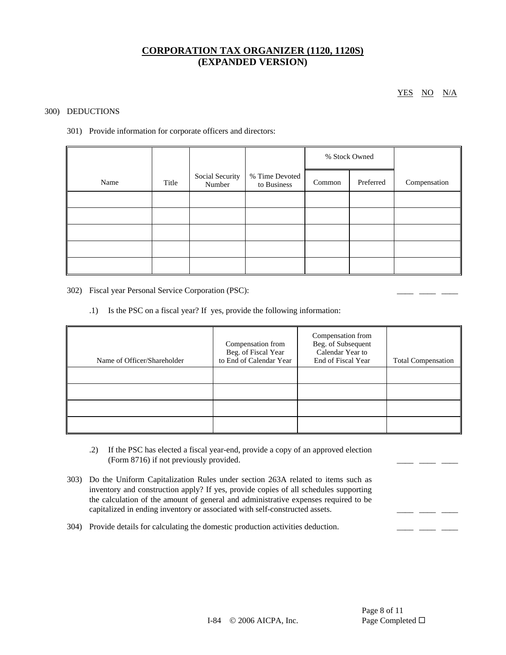YES NO N/A

#### 300) DEDUCTIONS

301) Provide information for corporate officers and directors:

|      |       |                           |                               | % Stock Owned |           |              |
|------|-------|---------------------------|-------------------------------|---------------|-----------|--------------|
| Name | Title | Social Security<br>Number | % Time Devoted<br>to Business | Common        | Preferred | Compensation |
|      |       |                           |                               |               |           |              |
|      |       |                           |                               |               |           |              |
|      |       |                           |                               |               |           |              |
|      |       |                           |                               |               |           |              |
|      |       |                           |                               |               |           |              |

302) Fiscal year Personal Service Corporation (PSC): \_\_\_\_\_\_\_ \_\_\_\_\_ \_\_\_\_\_ \_\_

.1) Is the PSC on a fiscal year? If yes, provide the following information:

| Name of Officer/Shareholder | Compensation from<br>Beg. of Fiscal Year<br>to End of Calendar Year | Compensation from<br>Beg. of Subsequent<br>Calendar Year to<br>End of Fiscal Year | <b>Total Compensation</b> |
|-----------------------------|---------------------------------------------------------------------|-----------------------------------------------------------------------------------|---------------------------|
|                             |                                                                     |                                                                                   |                           |
|                             |                                                                     |                                                                                   |                           |
|                             |                                                                     |                                                                                   |                           |
|                             |                                                                     |                                                                                   |                           |

- .2) If the PSC has elected a fiscal year-end, provide a copy of an approved election (Form 8716) if not previously provided.
- 303) Do the Uniform Capitalization Rules under section 263A related to items such as inventory and construction apply? If yes, provide copies of all schedules supporting the calculation of the amount of general and administrative expenses required to be capitalized in ending inventory or associated with self-constructed assets.  $\frac{1}{\sqrt{2}}$
- 304) Provide details for calculating the domestic production activities deduction. \_\_\_\_\_ \_\_\_ \_\_\_ \_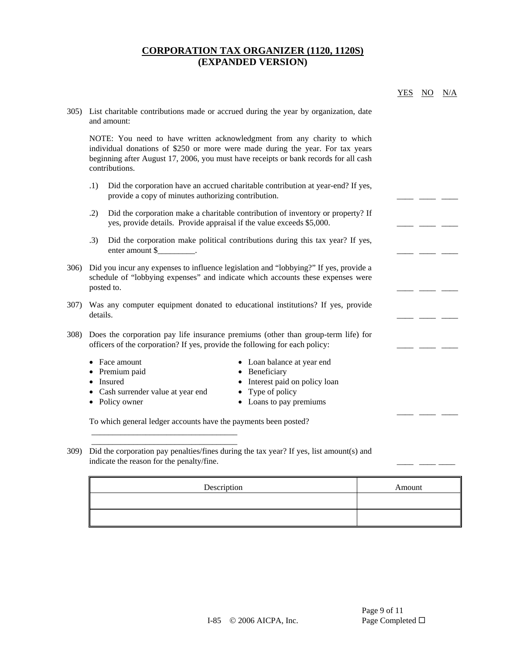|                 |                                                                                                                                                                                                                                                                     | <b>YES</b> | NO. | N/A |
|-----------------|---------------------------------------------------------------------------------------------------------------------------------------------------------------------------------------------------------------------------------------------------------------------|------------|-----|-----|
|                 | 305) List charitable contributions made or accrued during the year by organization, date<br>and amount:                                                                                                                                                             |            |     |     |
|                 | NOTE: You need to have written acknowledgment from any charity to which<br>individual donations of \$250 or more were made during the year. For tax years<br>beginning after August 17, 2006, you must have receipts or bank records for all cash<br>contributions. |            |     |     |
|                 | Did the corporation have an accrued charitable contribution at year-end? If yes,<br>.1)<br>provide a copy of minutes authorizing contribution.                                                                                                                      |            |     |     |
|                 | Did the corporation make a charitable contribution of inventory or property? If<br>.2)<br>yes, provide details. Provide appraisal if the value exceeds \$5,000.                                                                                                     |            |     |     |
|                 | Did the corporation make political contributions during this tax year? If yes,<br>.3)<br>enter amount \$                                                                                                                                                            |            |     |     |
| 30 <sub>6</sub> | Did you incur any expenses to influence legislation and "lobbying?" If yes, provide a<br>schedule of "lobbying expenses" and indicate which accounts these expenses were<br>posted to.                                                                              |            |     |     |
|                 | 307) Was any computer equipment donated to educational institutions? If yes, provide<br>details.                                                                                                                                                                    |            |     |     |
| 308)            | Does the corporation pay life insurance premiums (other than group-term life) for<br>officers of the corporation? If yes, provide the following for each policy:                                                                                                    |            |     |     |
|                 | • Face amount<br>• Loan balance at year end<br>• Premium paid<br>• Beneficiary<br>• Interest paid on policy loan<br>• Insured<br>• Type of policy<br>• Cash surrender value at year end<br>• Loans to pay premiums<br>• Policy owner                                |            |     |     |
|                 |                                                                                                                                                                                                                                                                     |            |     |     |

309) Did the corporation pay penalties/fines during the tax year? If yes, list amount(s) and indicate the reason for the penalty/fine.

| Description | Amount |
|-------------|--------|
|             |        |
|             |        |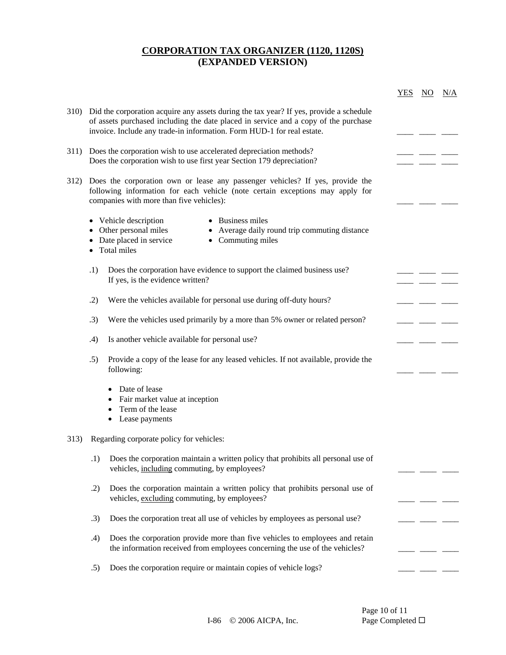|                                                                                                                                                                                                                                                              | <u>YES</u> | $\overline{NO}$ | N/A |
|--------------------------------------------------------------------------------------------------------------------------------------------------------------------------------------------------------------------------------------------------------------|------------|-----------------|-----|
| 310) Did the corporation acquire any assets during the tax year? If yes, provide a schedule<br>of assets purchased including the date placed in service and a copy of the purchase<br>invoice. Include any trade-in information. Form HUD-1 for real estate. |            |                 |     |
| 311) Does the corporation wish to use accelerated depreciation methods?<br>Does the corporation wish to use first year Section 179 depreciation?                                                                                                             |            |                 |     |
| 312) Does the corporation own or lease any passenger vehicles? If yes, provide the<br>following information for each vehicle (note certain exceptions may apply for<br>companies with more than five vehicles):                                              |            |                 |     |
| • Business miles<br>• Vehicle description<br>• Other personal miles<br>• Average daily round trip commuting distance<br>• Date placed in service<br>• Commuting miles<br>• Total miles                                                                       |            |                 |     |
| .1)<br>Does the corporation have evidence to support the claimed business use?<br>If yes, is the evidence written?                                                                                                                                           |            |                 |     |
| Were the vehicles available for personal use during off-duty hours?<br>.2)                                                                                                                                                                                   |            |                 |     |
| .3)<br>Were the vehicles used primarily by a more than 5% owner or related person?                                                                                                                                                                           |            |                 |     |
| Is another vehicle available for personal use?<br>.4)                                                                                                                                                                                                        |            |                 |     |
| .5)<br>Provide a copy of the lease for any leased vehicles. If not available, provide the<br>following:                                                                                                                                                      |            |                 |     |
| Date of lease<br>• Fair market value at inception<br>Term of the lease<br>Lease payments<br>$\bullet$                                                                                                                                                        |            |                 |     |
| 313) Regarding corporate policy for vehicles:                                                                                                                                                                                                                |            |                 |     |
| .1) Does the corporation maintain a written policy that prohibits all personal use of<br>vehicles, including commuting, by employees?                                                                                                                        |            |                 |     |
| Does the corporation maintain a written policy that prohibits personal use of<br>.2)<br>vehicles, excluding commuting, by employees?                                                                                                                         |            |                 |     |
| Does the corporation treat all use of vehicles by employees as personal use?<br>.3)                                                                                                                                                                          |            |                 |     |
| Does the corporation provide more than five vehicles to employees and retain<br>.4)<br>the information received from employees concerning the use of the vehicles?                                                                                           |            |                 |     |
| Does the corporation require or maintain copies of vehicle logs?<br>.5)                                                                                                                                                                                      |            |                 |     |